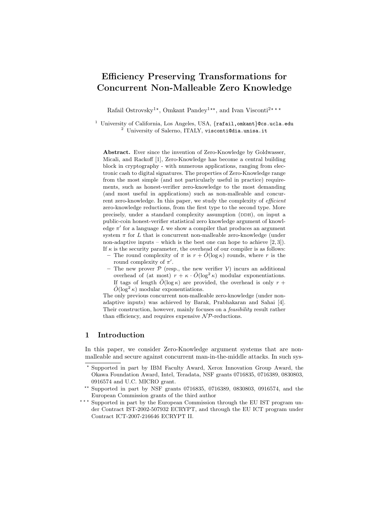# Efficiency Preserving Transformations for Concurrent Non-Malleable Zero Knowledge

Rafail Ostrovsky<sup>1\*</sup>, Omkant Pandey<sup>1\*\*</sup>, and Ivan Visconti<sup>2\*\*\*</sup>

<sup>1</sup> University of California, Los Angeles, USA, {rafail, omkant}@cs.ucla.edu  $^{2}$  University of Salerno, ITALY, visconti@dia.unisa.it

Abstract. Ever since the invention of Zero-Knowledge by Goldwasser, Micali, and Rackoff [1], Zero-Knowledge has become a central building block in cryptography - with numerous applications, ranging from electronic cash to digital signatures. The properties of Zero-Knowledge range from the most simple (and not particularly useful in practice) requirements, such as honest-verifier zero-knowledge to the most demanding (and most useful in applications) such as non-malleable and concurrent zero-knowledge. In this paper, we study the complexity of *efficient* zero-knowledge reductions, from the first type to the second type. More precisely, under a standard complexity assumption (DDH), on input a public-coin honest-verifier statistical zero knowledge argument of knowledge  $\pi'$  for a language L we show a compiler that produces an argument system  $\pi$  for L that is concurrent non-malleable zero-knowledge (under non-adaptive inputs – which is the best one can hope to achieve  $[2, 3]$ . If  $\kappa$  is the security parameter, the overhead of our compiler is as follows:

The round complexity of  $\pi$  is  $r + O(\log \kappa)$  rounds, where r is the round complexity of  $\pi'$ .

The new prover  $P$  (resp., the new verifier  $V$ ) incurs an additional overhead of (at most)  $r + \kappa \cdot \tilde{O}(\log^2 \kappa)$  modular exponentiations. If tags of length  $\tilde{O}(\log \kappa)$  are provided, the overhead is only  $r +$  $\tilde{O}(\log^2 \kappa)$  modular exponentiations.

The only previous concurrent non-malleable zero-knowledge (under nonadaptive inputs) was achieved by Barak, Prabhakaran and Sahai [4]. Their construction, however, mainly focuses on a feasibility result rather than efficiency, and requires expensive  $\mathcal{NP}\text{-reductions.}$ 

# 1 Introduction

In this paper, we consider Zero-Knowledge argument systems that are nonmalleable and secure against concurrent man-in-the-middle attacks. In such sys-

<sup>?</sup> Supported in part by IBM Faculty Award, Xerox Innovation Group Award, the Okawa Foundation Award, Intel, Teradata, NSF grants 0716835, 0716389, 0830803, 0916574 and U.C. MICRO grant.

<sup>\*\*</sup> Supported in part by NSF grants 0716835, 0716389, 0830803, 0916574, and the European Commission grants of the third author

<sup>\*\*\*</sup> Supported in part by the European Commission through the EU IST program under Contract IST-2002-507932 ECRYPT, and through the EU ICT program under Contract ICT-2007-216646 ECRYPT II.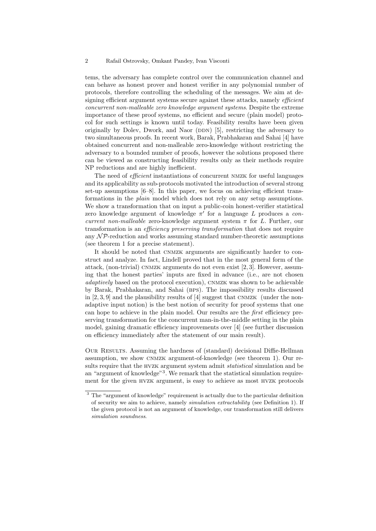tems, the adversary has complete control over the communication channel and can behave as honest prover and honest verifier in any polynomial number of protocols, therefore controlling the scheduling of the messages. We aim at designing efficient argument systems secure against these attacks, namely *efficient* concurrent non-malleable zero knowledge argument systems. Despite the extreme importance of these proof systems, no efficient and secure (plain model) protocol for such settings is known until today. Feasibility results have been given originally by Dolev, Dwork, and Naor (DDN)  $[5]$ , restricting the adversary to two simultaneous proofs. In recent work, Barak, Prabhakaran and Sahai [4] have obtained concurrent and non-malleable zero-knowledge without restricting the adversary to a bounded number of proofs, however the solutions proposed there can be viewed as constructing feasibility results only as their methods require NP reductions and are highly inefficient.

The need of *efficient* instantiations of concurrent NMZK for useful languages and its applicability as sub-protocols motivated the introduction of several strong set-up assumptions [6–8]. In this paper, we focus on achieving efficient transformations in the plain model which does not rely on any setup assumptions. We show a transformation that on input a public-coin honest-verifier statistical zero knowledge argument of knowledge  $\pi'$  for a language L produces a concurrent non-malleable zero-knowledge argument system  $\pi$  for L. Further, our transformation is an *efficiency preserving transformation* that does not require any  $\mathcal{NP}$ -reduction and works assuming standard number-theoretic assumptions (see theorem 1 for a precise statement).

It should be noted that CNMZK arguments are significantly harder to construct and analyze. In fact, Lindell proved that in the most general form of the attack, (non-trivial) CNMZK arguments do not even exist  $[2, 3]$ . However, assuming that the honest parties' inputs are fixed in advance (i.e., are not chosen adaptively based on the protocol execution), CNMZK was shown to be achievable by Barak, Prabhakaran, and Sahai (bps). The impossibility results discussed in  $[2, 3, 9]$  and the plausibility results of  $[4]$  suggest that CNMZK (under the nonadaptive input notion) is the best notion of security for proof systems that one can hope to achieve in the plain model. Our results are the first efficiency preserving transformation for the concurrent man-in-the-middle setting in the plain model, gaining dramatic efficiency improvements over [4] (see further discussion on efficiency immediately after the statement of our main result).

Our Results. Assuming the hardness of (standard) decisional Diffie-Hellman assumption, we show cnmzk argument-of-knowledge (see theorem 1). Our results require that the HVZK argument system admit *statistical* simulation and be an "argument of knowledge"<sup>3</sup>. We remark that the statistical simulation requirement for the given hvzk argument, is easy to achieve as most hvzk protocols

<sup>&</sup>lt;sup>3</sup> The "argument of knowledge" requirement is actually due to the particular definition of security we aim to achieve, namely simulation extractability (see Definition 1). If the given protocol is not an argument of knowledge, our transformation still delivers simulation soundness.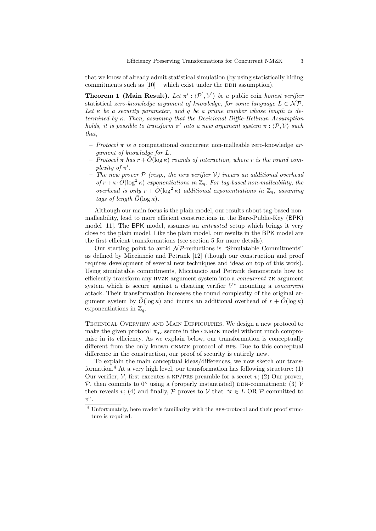that we know of already admit statistical simulation (by using statistically hiding commitments such as  $[10]$  – which exist under the DDH assumption).

**Theorem 1 (Main Result).** Let  $\pi'$  :  $\langle \mathcal{P}', \mathcal{V}' \rangle$  be a public coin honest verifier statistical zero-knowledge argument of knowledge, for some language  $L \in \mathcal{NP}$ . Let  $\kappa$  be a security parameter, and q be a prime number whose length is determined by  $\kappa$ . Then, assuming that the Decisional Diffie-Hellman Assumption holds, it is possible to transform  $\pi'$  into a new argument system  $\pi : \langle \mathcal{P}, \mathcal{V} \rangle$  such that,

- Protocol  $\pi$  is a computational concurrent non-malleable zero-knowledge argument of knowledge for L.
- Protocol  $\pi$  has  $r + \tilde{O}(\log \kappa)$  rounds of interaction, where r is the round complexity of  $\pi'$ .
- The new prover  $P$  (resp., the new verifier V) incurs an additional overhead of  $r + \kappa \cdot \tilde{O}(\log^2 \kappa)$  exponentiations in  $\mathbb{Z}_q$ . For tag-based non-malleability, the overhead is only  $r + \tilde{O}(\log^2 \kappa)$  additional exponentiations in  $\mathbb{Z}_q$ , assuming tags of length  $\tilde{O}(\log \kappa)$ .

Although our main focus is the plain model, our results about tag-based nonmalleability, lead to more efficient constructions in the Bare-Public-Key (BPK) model [11]. The BPK model, assumes an *untrusted* setup which brings it very close to the plain model. Like the plain model, our results in the BPK model are the first efficient transformations (see section 5 for more details).

Our starting point to avoid  $N\mathcal{P}$ -reductions is "Simulatable Commitments" as defined by Micciancio and Petrank [12] (though our construction and proof requires development of several new techniques and ideas on top of this work). Using simulatable commitments, Micciancio and Petrank demonstrate how to efficiently transform any hvzk argument system into a concurrent zk argument system which is secure against a cheating verifier  $V^*$  mounting a *concurrent* attack. Their transformation increases the round complexity of the original argument system by  $\tilde{O}(\log \kappa)$  and incurs an additional overhead of  $r + \tilde{O}(\log \kappa)$ exponentiations in  $\mathbb{Z}_q$ .

Technical Overview and Main Difficulties. We design a new protocol to make the given protocol  $\pi_{HV}$  secure in the CNMZK model without much compromise in its efficiency. As we explain below, our transformation is conceptually different from the only known CNMZK protocol of BPS. Due to this conceptual difference in the construction, our proof of security is entirely new.

To explain the main conceptual ideas/differences, we now sketch our transformation.<sup>4</sup> At a very high level, our transformation has following structure:  $(1)$ Our verifier,  $\mathcal V$ , first executes a KP/PRS preamble for a secret v; (2) Our prover, P, then commits to  $0^{\kappa}$  using a (properly instantiated) DDN-commitment; (3) V then reveals v; (4) and finally,  $\mathcal P$  proves to  $\mathcal V$  that " $x \in L$  OR  $\mathcal P$  committed to  $v$ ".

 $^4$  Unfortunately, here reader's familiarity with the BPS-protocol and their proof structure is required.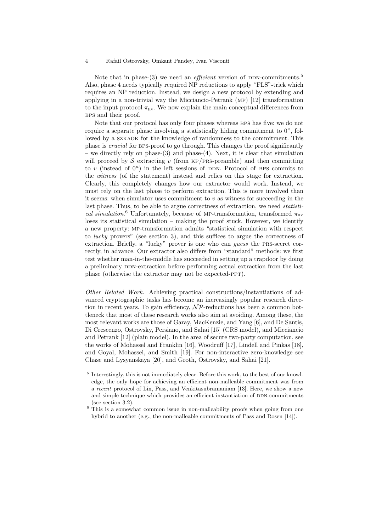Note that in phase-(3) we need an *efficient* version of DDN-commitments.<sup>5</sup> Also, phase 4 needs typically required NP reductions to apply "FLS"-trick which requires an NP reduction. Instead, we design a new protocol by extending and applying in a non-trivial way the Micciancio-Petrank (mp) [12] transformation to the input protocol  $\pi_{\text{HV}}$ . We now explain the main conceptual differences from bps and their proof.

Note that our protocol has only four phases whereas BPS has five: we do not require a separate phase involving a statistically hiding commitment to  $0^{\kappa}$ , followed by a szkaok for the knowledge of randomness to the commitment. This phase is *crucial* for BPS-proof to go through. This changes the proof significantly – we directly rely on phase-(3) and phase-(4). Next, it is clear that simulation will proceed by S extracting v (from  $KP/PRS\text{-}preamble$ ) and then committing to v (instead of  $0^{\kappa}$ ) in the left sessions of DDN. Protocol of BPS commits to the witness (of the statement) instead and relies on this stage for extraction. Clearly, this completely changes how our extractor would work. Instead, we must rely on the last phase to perform extraction. This is more involved than it seems: when simulator uses commitment to  $v$  as witness for succeeding in the last phase. Thus, to be able to argue correctness of extraction, we need *statisti*cal simulation.<sup>6</sup> Unfortunately, because of MP-transformation, transformed  $\pi_{\text{HV}}$ loses its statistical simulation – making the proof stuck. However, we identify a new property: mp-transformation admits "statistical simulation with respect to lucky provers" (see section 3), and this suffices to argue the correctness of extraction. Briefly. a "lucky" prover is one who can guess the prs-secret correctly, in advance. Our extractor also differs from "standard" methods: we first test whether man-in-the-middle has succeeded in setting up a trapdoor by doing a preliminary DDN-extraction before performing actual extraction from the last phase (otherwise the extractor may not be expected-ppt).

Other Related Work. Achieving practical constructions/instantiations of advanced cryptographic tasks has become an increasingly popular research direction in recent years. To gain efficiency,  $N\mathcal{P}$ -reductions has been a common bottleneck that most of these research works also aim at avoiding. Among these, the most relevant works are those of Garay, MacKenzie, and Yang [6], and De Santis, Di Crescenzo, Ostrovsky, Persiano, and Sahai [15] (CRS model), and Micciancio and Petrank [12] (plain model). In the area of secure two-party computation, see the works of Mohassel and Franklin [16], Woodruff [17], Lindell and Pinkas [18], and Goyal, Mohassel, and Smith [19]. For non-interactive zero-knowledge see Chase and Lysyanskaya [20], and Groth, Ostrovsky, and Sahai [21].

<sup>&</sup>lt;sup>5</sup> Interestingly, this is not immediately clear. Before this work, to the best of our knowledge, the only hope for achieving an efficient non-malleable commitment was from a recent protocol of Lin, Pass, and Venkitasubramaniam [13]. Here, we show a new and simple technique which provides an efficient instantiation of DDN-commitments (see section 3.2).

 $6$  This is a somewhat common issue in non-malleability proofs when going from one hybrid to another (e.g., the non-malleable commitments of Pass and Rosen [14]).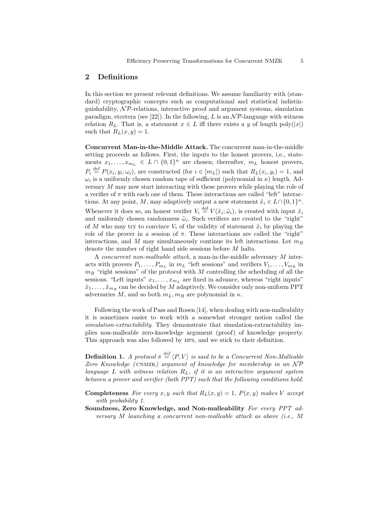## 2 Definitions

In this section we present relevant definitions. We assume familiarity with (standard) cryptographic concepts such as computational and statistical indistinguishability,  $N\mathcal{P}$ -relations, interactive proof and argument systems, simulation paradigm, etcetera (see [22]). In the following, L is an  $\mathcal{NP}$ -language with witness relation  $R_L$ . That is, a statement  $x \in L$  iff there exists a y of length poly $(|x|)$ such that  $R_L(x, y) = 1$ .

Concurrent Man-in-the-Middle Attack. The concurrent man-in-the-middle setting proceeds as follows. First, the inputs to the honest provers, i.e., statements  $x_1, \ldots, x_{m_L} \in L \cap \{0,1\}^n$  are chosen; thereafter,  $m_L$  honest provers,  $P_i \stackrel{\text{def}}{=} P(x_i, y_i; \omega_i)$ , are constructed (for  $i \in [m_L]$ ) such that  $R_L(x_i, y_i) = 1$ , and  $\omega_i$  is a uniformly chosen random tape of sufficient (polynomial in  $\kappa$ ) length. Adversary M may now start interacting with these provers while playing the role of a verifier of  $\pi$  with each one of them. These interactions are called "left" interactions. At any point, M, may adaptively output a new statement  $\tilde{x}_i \in L \cap \{0, 1\}^n$ . Whenever it does so, an honest verifier  $V_i \stackrel{\text{def}}{=} V(\tilde{x}_i; \tilde{\omega}_i)$ , is created with input  $\tilde{x}_i$ and uniformly chosen randomness  $\tilde{\omega}_i$ . Such verifiers are created to the "right" of M who may try to convince  $V_i$  of the validity of statement  $\tilde{x}_i$  by playing the role of the prover in a session of  $\pi$ . These interactions are called the "right" interactions, and M may simultaneously continue its left interactions. Let  $m_R$ denote the number of right hand side sessions before M halts.

A concurrent non-malleable attack, a man-in-the-middle adversary M interacts with provers  $P_1, \ldots, P_{m_L}$  in  $m_L$  "left sessions" and verifiers  $V_1, \ldots, V_{m_R}$  in  $m_R$  "right sessions" of the protocol with M controlling the scheduling of all the sessions. "Left inputs"  $x_1, \ldots, x_{m_L}$  are fixed in advance, whereas "right inputs"  $\tilde{x}_1, \ldots, \tilde{x}_{m_R}$  can be decided by M adaptively. We consider only non-uniform PPT adversaries M, and so both  $m_L, m_R$  are polynomial in  $\kappa$ .

Following the work of Pass and Rosen [14], when dealing with non-malleability it is sometimes easier to work with a somewhat stronger notion called the simulation-extractability. They demonstrate that simulation-extractability implies non-malleable zero-knowledge argument (proof) of knowledge property. This approach was also followed by BPS, and we stick to their definition.

**Definition 1.** A protocol  $\pi \stackrel{def}{=} \langle P, V \rangle$  is said to be a Concurrent Non-Malleable Zero Knowledge (CNMZK) argument of knowledge for membership in an  $\mathcal{NP}$ language  $L$  with witness relation  $R_L$ , if it is an interactive argument system between a prover and verifier (both PPT) such that the following conditions hold.

**Completeness** For every x, y such that  $R_L(x, y) = 1$ ,  $P(x, y)$  makes V accept with probability 1.

Soundness, Zero Knowledge, and Non-malleability For every PPT adversary M launching a concurrent non-malleable attack as above (i.e., M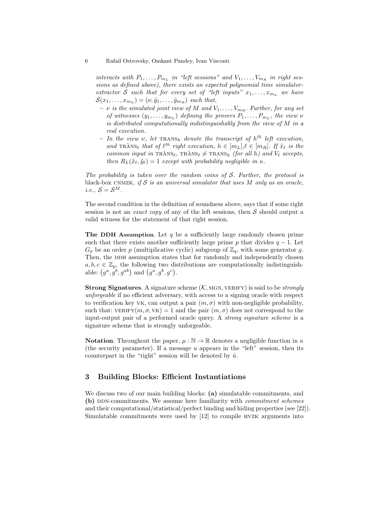#### 6 Rafail Ostrovsky, Omkant Pandey, Ivan Visconti

interacts with  $P_1, \ldots, P_{m_L}$  in "left sessions" and  $V_1, \ldots, V_{m_R}$  in right sessions as defined above), there exists an expected polynomial time simulatorextractor S such that for every set of "left inputs"  $x_1, \ldots, x_{m_L}$  we have  $\mathcal{S}(x_1,\ldots,x_{m_L})=(\nu,\tilde{y}_1,\ldots,\tilde{y}_{m_R})$  such that,

- $\nu$  is the simulated joint view of M and  $V_1, \ldots, V_{m_R}$ . Further, for any set of witnesses  $(y_1, \ldots, y_{m_L})$  defining the provers  $P_1, \ldots, P_{m_L}$ , the view  $\nu$ is distributed computationally indistinguishably from the view of M in a real execution.
- In the view  $\nu$ , let  $\text{TRANS}_{h}$  denote the transcript of  $h^{th}$  left execution, and  $\text{TRANS}_{\ell}$  that of  $\ell^{th}$  right execution,  $h \in [m_L], \ell \in [m_R]$ . If  $\tilde{x}_{\ell}$  is the common input in  $\text{TRANS}_{\ell}$ ,  $\text{TRANS}_{\ell} \neq \text{TRANS}_{h}$  (for all h) and  $V_{\ell}$  accepts, then  $R_L(\tilde{x}_\ell, \tilde{y}_\ell) = 1$  except with probability negligible in  $\kappa$ .

The probability is taken over the random coins of  $S$ . Further, the protocol is black-box CNMZK, if  $S$  is an universal simulator that uses  $M$  only as an oracle, i.e.,  $S = S^M$ .

The second condition in the definition of soundness above, says that if some right session is not an *exact copy* of any of the left sessions, then  $S$  should output a valid witness for the statement of that right session.

**The DDH Assumption.** Let  $q$  be a sufficiently large randomly chosen prime such that there exists another sufficiently large prime p that divides  $q - 1$ . Let  $G_p$  be an order p (multiplicative cyclic) subgroup of  $\mathbb{Z}_q$ , with some generator g. Then, the DDH assumption states that for randomly and independently chosen  $a, b, c \in \mathbb{Z}_p$ , the following two distributions are computationally indistinguishable:  $(g^a, g^b, g^{ab})$  and  $(g^a, g^b, g^c)$ .

**Strong Signatures.** A signature scheme  $(K, \text{SGN}, \text{VERIFY})$  is said to be *strongly* unforgeable if no efficient adversary, with access to a signing oracle with respect to verification key VK, can output a pair  $(m, \sigma)$  with non-negligible probability, such that:  $VERIFY(m, \sigma, VK) = 1$  and the pair  $(m, \sigma)$  does not correspond to the input-output pair of a performed oracle query. A strong signature scheme is a signature scheme that is strongly unforgeable.

**Notation.** Throughout the paper,  $\mu : \mathbb{N} \to \mathbb{R}$  denotes a negligible function in  $\kappa$ (the security parameter). If a message  $u$  appears in the "left" session, then its counterpart in the "right" session will be denoted by  $\tilde{u}$ .

# 3 Building Blocks: Efficient Instantiations

We discuss two of our main building blocks: (a) simulatable commitments, and (b) DDN-commitments. We assume here familiarity with *commitment schemes* and their computational/statistical/perfect binding and hiding properties (see [22]). Simulatable commitments were used by [12] to compile hvzk arguments into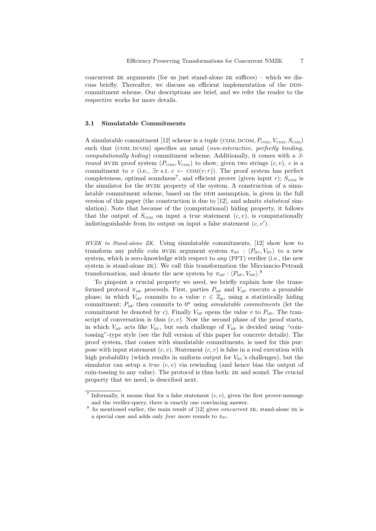concurrent zk arguments (for us just stand-alone zk suffices) – which we discuss briefly. Thereafter, we discuss an efficient implementation of the DDNcommitment scheme. Our descriptions are brief, and we refer the reader to the respective works for more details.

#### 3.1 Simulatable Commitments

A simulatable commitment [12] scheme is a tuple (COM, DCOM,  $P_{COM}$ ,  $V_{COM}$ ,  $S_{COM}$ ) such that  $(COM, DCOM)$  specifies an usual  $(non-interactive, perfectly binding,$ computationally hiding) commitment scheme. Additionally, it comes with a 3 round HVZK proof system  $(P_{COM}, V_{COM})$  to show, given two strings  $(c, v)$ , c is a commitment to v (i.e.,  $\exists r \text{ s.t. } c \leftarrow \text{COM}(v; r)$ ). The proof system has perfect completeness, optimal soundness<sup>7</sup>, and efficient prover (given input r);  $S_{COM}$  is the simulator for the hvzk property of the system. A construction of a simulatable commitment scheme, based on the DDH assumption, is given in the full version of this paper (the construction is due to [12], and admits statistical simulation). Note that because of the (computational) hiding property, it follows that the output of  $S_{COM}$  on input a true statement  $(c, v)$ , is computationally indistinguishable from its output on input a false statement  $(c, v')$ .

HVZK to Stand-alone ZK. Using simulatable commitments, [12] show how to transform any public coin HVZK argument system  $\pi_{\text{HV}}$  :  $\langle P_{\text{HV}} , V_{\text{HV}} \rangle$  to a new system, which is zero-knowledge with respect to any (PPT) verifier (i.e., the new system is stand-alone zk). We call this transformation the Micciancio-Petrank transformation, and denote the new system by  $\pi_{\text{MP}} : \langle P_{\text{MP}}, V_{\text{MP}} \rangle$ .<sup>8</sup>

To pinpoint a crucial property we need, we briefly explain how the transformed protocol  $\pi_{\text{MP}}$  proceeds. First, parties  $P_{\text{MP}}$  and  $V_{\text{MP}}$  execute a preamble phase, in which  $V_{MP}$  commits to a value  $v \in \mathbb{Z}_p$ , using a statistically hiding commitment;  $P_{MP}$  then commits to  $0^{\kappa}$  using simulatable commitments (let the commitment be denoted by c). Finally  $V_{MP}$  opens the value v to  $P_{MP}$ . The transcript of conversation is thus  $(c, v)$ . Now the second phase of the proof starts, in which  $V_{\text{MP}}$  acts like  $V_{\text{HV}}$ , but each challenge of  $V_{\text{MP}}$  is decided using "cointossing"-type style (see the full version of this paper for concrete details). The proof system, that comes with simulatable commitments, is used for this purpose with input statement  $(c, v)$ . Statement  $(c, v)$  is false in a real execution with high probability (which results in uniform output for  $V_{\text{HV}}$ 's challenges), but the simulator can setup a *true*  $(c, v)$  via rewinding (and hence bias the output of coin-tossing to any value). The protocol is thus both: zk and sound. The crucial property that we need, is described next.

<sup>&</sup>lt;sup>7</sup> Informally, it means that for a false statement  $(c, v)$ , given the first prover-message and the verifier-query, there is exactly one convincing answer.

 $8$  As mentioned earlier, the main result of [12] gives *concurrent*  $ZK$ ; stand-alone  $ZK$  is a special case and adds only *four* more rounds to  $\pi_{\text{HV}}$ .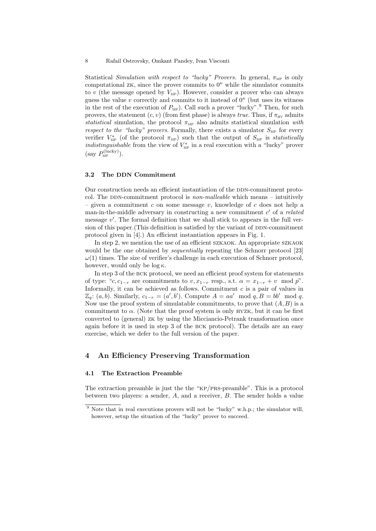Statistical Simulation with respect to "lucky" Provers. In general,  $\pi_{\text{MP}}$  is only computational zk, since the prover commits to  $0^{\kappa}$  while the simulator commits to  $v$  (the message opened by  $V_{MP}$ ). However, consider a prover who can always guess the value v correctly and commits to it instead of  $0<sup>\kappa</sup>$  (but uses its witness in the rest of the execution of  $P_{\text{MP}}$ ). Call such a prover "lucky".<sup>9</sup> Then, for such provers, the statement  $(c, v)$  (from first phase) is always true. Thus, if  $\pi_{HV}$  admits statistical simulation, the protocol  $\pi_{\text{MP}}$  also admits statistical simulation with respect to the "lucky" provers. Formally, there exists a simulator  $S_{\text{MP}}$  for every verifier  $V_{\text{MP}}^*$  (of the protocol  $\pi_{\text{MP}}$ ) such that the output of  $S_{\text{MP}}$  is *statistically indistinguishable* from the view of  $V_{\text{MP}}^*$  in a real execution with a "lucky" prover  $(\text{say } P_{\text{MP}}^{(\text{lucky})}).$ 

#### 3.2 The DDN Commitment

Our construction needs an efficient instantiation of the DDN-commitment protocol. The DDN-commitment protocol is *non-malleable* which means – intuitively – given a commitment c on some message v, knowledge of c does not help a man-in-the-middle adversary in constructing a new commitment  $c'$  of a *related* message  $v'$ . The formal definition that we shall stick to appears in the full version of this paper. (This definition is satisfied by the variant of DDN-commitment protocol given in [4].) An efficient instantiation appears in Fig. 1.

In step 2, we mention the use of an efficient SZKAOK. An appropriate SZKAOK would be the one obtained by *sequentially* repeating the Schnorr protocol [23]  $\omega(1)$  times. The size of verifier's challenge in each execution of Schnorr protocol, however, would only be  $\log \kappa$ .

In step 3 of the bck protocol, we need an efficient proof system for statements of type: "c, c<sub>1−r</sub> are commitments to  $v, x_{1-r}$  resp., s.t.  $\alpha = x_{1-r} + v \mod p$ ". Informally, it can be achieved as follows. Commitment  $c$  is a pair of values in  $\mathbb{Z}_q$ :  $(a, b)$ . Similarly,  $c_{1-r} = (a', b')$ . Compute  $A = aa' \mod q$ ,  $B = bb' \mod q$ . Now use the proof system of simulatable commitments, to prove that  $(A, B)$  is a commitment to  $\alpha$ . (Note that the proof system is only HVZK, but it can be first converted to (general) zk by using the Micciancio-Petrank transformation once again before it is used in step 3 of the bck protocol). The details are an easy exercise, which we defer to the full version of the paper.

# 4 An Efficiency Preserving Transformation

#### 4.1 The Extraction Preamble

The extraction preamble is just the the "kp/prs-preamble". This is a protocol between two players: a sender, A, and a receiver, B. The sender holds a value

<sup>&</sup>lt;sup>9</sup> Note that in real executions provers will not be "lucky" w.h.p.; the simulator will, however, setup the situation of the "lucky" prover to succeed.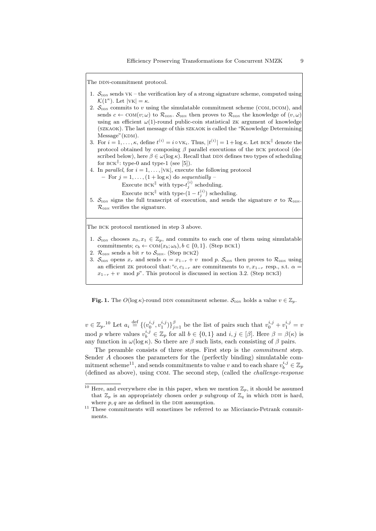The DDN-commitment protocol.

- 1.  $S_{\text{DDN}}$  sends VK the verification key of a strong signature scheme, computed using  $\mathcal{K}(1^{\kappa})$ . Let  $|VK| = \kappa$ .
- 2.  $S_{\text{DDN}}$  commits to v using the simulatable commitment scheme (COM, DCOM), and sends  $c \leftarrow \text{COM}(v; \omega)$  to  $\mathcal{R}_{\text{DDN}}$ . S<sub>ppn</sub> then proves to  $\mathcal{R}_{\text{DDN}}$  the knowledge of  $(v, \omega)$ using an efficient  $\omega(1)$ -round public-coin statistical zk argument of knowledge (szkaok). The last message of this szkaok is called the "Knowledge Determining  $Message''(KDM).$
- 3. For  $i = 1, ..., \kappa$ , define  $t^{(i)} = i \circ \forall K_i$ . Thus,  $|t^{(i)}| = 1 + \log \kappa$ . Let BCK<sup>||</sup> denote the protocol obtained by composing  $\beta$  parallel executions of the BCK protocol (described below), here  $\beta \in \omega(\log \kappa)$ . Recall that DDN defines two types of scheduling for  $BCK$ <sup> $\parallel$ </sup>: type-0 and type-1 (see [5]).
- 4. In parallel, for  $i = 1, ..., |vk|$ , execute the following protocol
	- For  $j = 1, ..., (1 + \log \kappa)$  do sequentially
		- Execute  $\text{BCK}^{\parallel}$  with type- $t_j^{(i)}$  scheduling.

Execute BCK<sup>||</sup> with type- $(1-t_j^{(i)})$  scheduling.

5.  $\mathcal{S}_{\text{DDN}}$  signs the full transcript of execution, and sends the signature  $\sigma$  to  $\mathcal{R}_{\text{DDN}}$  $\mathcal{R}_{\text{nnv}}$  verifies the signature.

The BCK protocol mentioned in step 3 above.

- 1.  $S_{\text{DDN}}$  chooses  $x_0, x_1 \in \mathbb{Z}_p$ , and commits to each one of them using simulatable commitments;  $c_b \leftarrow \text{COM}(x_b; \omega_b), b \in \{0, 1\}.$  (Step BCK1)
- 2.  $\mathcal{R}_{\text{DDN}}$  sends a bit r to  $\mathcal{S}_{\text{DDN}}$ . (Step BCK2)
- 3.  $S_{\text{DDN}}$  opens  $x_r$  and sends  $\alpha = x_{1-r} + v \mod p$ .  $S_{\text{DDN}}$  then proves to  $\mathcal{R}_{\text{DDN}}$  using an efficient zk protocol that: "c, c<sub>1−r</sub> are commitments to  $v, x_{1-r}$  resp., s.t.  $\alpha$  =  $x_{1-r} + v \mod p$ . This protocol is discussed in section 3.2. (Step BCK3)

**Fig. 1.** The  $O(\log \kappa)$ -round DDN commitment scheme.  $S_{\text{DDN}}$  holds a value  $v \in \mathbb{Z}_p$ .

 $v \in \mathbb{Z}_p$ .<sup>10</sup> Let  $a_i \stackrel{\text{def}}{=} \{(v_0^{i,j}, v_1^{i,j})\}_{j=1}^{\beta}$  be the list of pairs such that  $v_0^{i,j} + v_1^{i,j} = v_0^{i,j}$ mod p where values  $v_b^{i,j} \in \mathbb{Z}_p$  for all  $b \in \{0,1\}$  and  $i,j \in [\beta]$ . Here  $\beta = \beta(\kappa)$  is any function in  $\omega(\log \kappa)$ . So there are  $\beta$  such lists, each consisting of  $\beta$  pairs.

The preamble consists of three steps. First step is the commitment step. Sender A chooses the parameters for the (perfectly binding) simulatable commitment scheme<sup>11</sup>, and sends commitments to value v and to each share  $v_b^{i,j} \in \mathbb{Z}_p$ (defined as above), using com. The second step, (called the challenge-response

<sup>&</sup>lt;sup>10</sup> Here, and everywhere else in this paper, when we mention  $\mathbb{Z}_p$ , it should be assumed that  $\mathbb{Z}_p$  is an appropriately chosen order p subgroup of  $\mathbb{Z}_q$  in which DDH is hard, where  $p, q$  are as defined in the DDH assumption.

 $11$  These commitments will sometimes be referred to as Micciancio-Petrank commitments.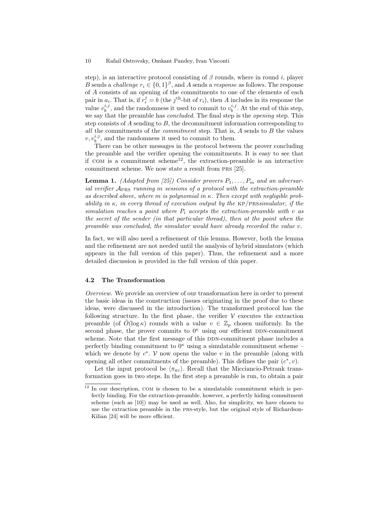step), is an interactive protocol consisting of  $\beta$  rounds, where in round i, player B sends a *challenge*  $r_i \in \{0,1\}^{\beta}$ , and A sends a *response* as follows. The response of A consists of an opening of the commitments to one of the elements of each pair in  $a_i$ . That is, if  $r_i^j = b$  (the j<sup>th</sup>-bit of  $r_i$ ), then A includes in its response the value  $v_b^{i,j}$ , and the randomness it used to commit to  $v_b^{i,j}$ . At the end of this step, we say that the preamble has *concluded*. The final step is the *opening* step. This step consists of  $A$  sending to  $B$ , the decommitment information corresponding to all the commitments of the *commitment* step. That is,  $A$  sends to  $B$  the values  $v, v_b^{i,j}$ , and the randomness it used to commit to them.

There can be other messages in the protocol between the prover concluding the preamble and the verifier opening the commitments. It is easy to see that if COM is a commitment scheme<sup>12</sup>, the extraction-preamble is an interactive commitment scheme. We now state a result from prs [25].

**Lemma 1.** (Adapted from [25]) Consider provers  $P_1, \ldots, P_m$  and an adversarial verifier  $A_{PRS}$  running m sessions of a protocol with the extraction-preamble as described above, where m is polynomial in  $\kappa$ . Then except with negligible probability in  $\kappa$ , in every thread of execution output by the KP/PRSsimulator, if the simulation reaches a point where  $P_i$  accepts the extraction-preamble with v as the secret of the sender (in that particular thread), then at the point when the preamble was concluded, the simulator would have already recorded the value v.

In fact, we will also need a refinement of this lemma. However, both the lemma and the refinement are not needed until the analysis of hybrid simulators (which appears in the full version of this paper). Thus, the refinement and a more detailed discussion is provided in the full version of this paper.

## 4.2 The Transformation

Overview. We provide an overview of our transformation here in order to present the basic ideas in the construction (issues originating in the proof due to these ideas, were discussed in the introduction). The transformed protocol has the following structure. In the first phase, the verifier  $V$  executes the extraction preamble (of  $O(\log \kappa)$  rounds with a value  $v \in \mathbb{Z}_p$  chosen uniformly. In the second phase, the prover commits to  $0^{\kappa}$  using our efficient DDN-commitment scheme. Note that the first message of this DDN-commitment phase includes a perfectly binding commitment to  $0^{\kappa}$  using a simulatable commitment scheme – which we denote by  $c^*$ . V now opens the value v in the preamble (along with opening all other commitments of the preamble). This defines the pair  $(c^*, v)$ .

Let the input protocol be  $\langle \pi_{\text{HV}} \rangle$ . Recall that the Micciancio-Petrank transformation goes in two steps. In the first step a preamble is run, to obtain a pair

 $12$  In our description, COM is chosen to be a simulatable commitment which is perfectly binding. For the extraction-preamble, however, a perfectly hiding commitment scheme (such as [10]) may be used as well. Also, for simplicity, we have chosen to use the extraction preamble in the prs-style, but the original style of Richardson-Kilian [24] will be more efficient.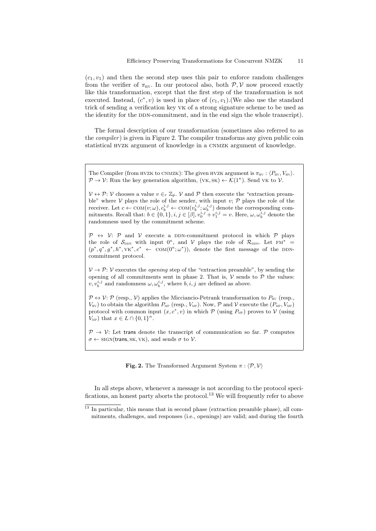$(c_1, v_1)$  and then the second step uses this pair to enforce random challenges from the verifier of  $\pi_{\text{HV}}$ . In our protocol also, both  $\mathcal{P}, \mathcal{V}$  now proceed exactly like this transformation, except that the first step of the transformation is not executed. Instead,  $(c^*, v)$  is used in place of  $(c_1, v_1)$ . (We also use the standard trick of sending a verification key vk of a strong signature scheme to be used as the identity for the DDN-commitment, and in the end sign the whole transcript).

The formal description of our transformation (sometimes also referred to as the *compiler*) is given in Figure 2. The compiler transforms any given public coin statistical hvzk argument of knowledge in a cnmzk argument of knowledge.

The Compiler (from HVZK to CNMZK): The given HVZK argument is  $\pi_{\rm HV}$ :  $\langle P_{\rm HV}, V_{\rm HV} \rangle$ .  $\mathcal{P} \to \mathcal{V}$ : Run the key generation algorithm,  $(VK, SK) \leftarrow \mathcal{K}(1^{\kappa})$ . Send VK to  $\mathcal{V}$ .

 $V \leftrightarrow \mathcal{P}: \mathcal{V}$  chooses a value  $v \in_r \mathbb{Z}_p$ .  $\mathcal{V}$  and  $\mathcal{P}$  then execute the "extraction preamble" where  $V$  plays the role of the sender, with input  $v$ ;  $P$  plays the role of the receiver. Let  $c \leftarrow \text{COM}(v; \omega), c_b^{i,j} \leftarrow \text{COM}(v_b^{i,j}; \omega_b^{i,j})$  denote the corresponding commitments. Recall that:  $b \in \{0, 1\}$ ,  $i, j \in [\beta]$ ,  $v_0^{i, j} + v_1^{i, j} = v$ . Here,  $\omega, \omega_b^{i, j}$  denote the randomness used by the commitment scheme.

 $\mathcal{P} \leftrightarrow \mathcal{V}$ :  $\mathcal{P}$  and  $\mathcal{V}$  execute a DDN-commitment protocol in which  $\mathcal{P}$  plays the role of  $S_{\text{DDN}}$  with input  $0^{\kappa}$ , and V plays the role of  $\mathcal{R}_{\text{DDN}}$ . Let  $\text{FM}^*$  =  $(p^*, q^*, p^*, h^*, \forall K^*, c^* \leftarrow \text{COM}(0^{\kappa}; \omega^*)),$  denote the first message of the DDNcommitment protocol.

 $V \rightarrow \mathcal{P}$ : V executes the *opening* step of the "extraction preamble", by sending the opening of all commitments sent in phase 2. That is,  $\mathcal V$  sends to  $\mathcal P$  the values:  $v, v_b^{i,j}$  and randomness  $\omega, \omega_b^{i,j}$ , where  $b, i, j$  are defined as above.

 $\mathcal{P} \leftrightarrow \mathcal{V}$ :  $\mathcal{P}$  (resp.,  $\mathcal{V}$ ) applies the Micciancio-Petrank transformation to  $P_{\text{HV}}$  (resp.,  $V_{\text{HV}}$ ) to obtain the algorithm  $P_{\text{MP}}$  (resp.,  $V_{\text{MP}}$ ). Now,  $P$  and  $V$  execute the  $(P_{\text{MP}}, V_{\text{MP}})$ protocol with common input  $(x, c^*, v)$  in which  $P$  (using  $P_{MP}$ ) proves to  $V$  (using  $V_{MP}$ ) that  $x \in L \cap \{0,1\}^n$ .

 $P \rightarrow V$ : Let trans denote the transcript of communication so far. P computes  $\sigma \leftarrow \text{SIGN}(\text{trans}, \text{SK}, \text{VK})$ , and sends  $\sigma$  to  $V$ .

**Fig. 2.** The Transformed Argument System  $\pi$  :  $\langle \mathcal{P}, \mathcal{V} \rangle$ 

In all steps above, whenever a message is not according to the protocol specifications, an honest party aborts the protocol.<sup>13</sup> We will frequently refer to above

<sup>&</sup>lt;sup>13</sup> In particular, this means that in second phase (extraction preamble phase), all commitments, challenges, and responses (i.e., openings) are valid; and during the fourth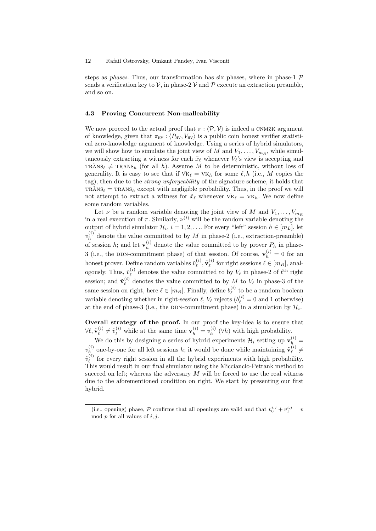steps as *phases*. Thus, our transformation has six phases, where in phase-1  $\mathcal{P}$ sends a verification key to  $\mathcal{V}$ , in phase-2  $\mathcal{V}$  and  $\mathcal{P}$  execute an extraction preamble, and so on.

#### 4.3 Proving Concurrent Non-malleability

We now proceed to the actual proof that  $\pi$ :  $\langle \mathcal{P}, \mathcal{V} \rangle$  is indeed a CNMZK argument of knowledge, given that  $\pi_{\text{HV}}$ :  $\langle P_{\text{HV}}, V_{\text{HV}} \rangle$  is a public coin honest verifier statistical zero-knowledge argument of knowledge. Using a series of hybrid simulators, we will show how to simulate the joint view of M and  $V_1, \ldots, V_{m_R}$ , while simultaneously extracting a witness for each  $\tilde{x}_\ell$  whenever  $V_\ell$ 's view is accepting and  $TRANS_{\ell} \neq TRANS_{h}$  (for all h). Assume M to be deterministic, without loss of generality. It is easy to see that if  $\tilde{v}_{K_\ell} = v_{K_h}$  for some  $\ell, h$  (i.e., M copies the tag), then due to the strong unforgeability of the signature scheme, it holds that  $TRANS_{\ell} = TRANS_{h}$  except with negligible probability. Thus, in the proof we will not attempt to extract a witness for  $\tilde{x}_\ell$  whenever  $\tilde{v}_{k\ell} = v_{k\ell}$ . We now define some random variables.

Let  $\nu$  be a random variable denoting the joint view of M and  $V_1, \ldots, V_{m_R}$ in a real execution of  $\pi$ . Similarly,  $\nu^{(i)}$  will be the random variable denoting the output of hybrid simulator  $\mathcal{H}_i$ ,  $i = 1, 2, \ldots$  For every "left" session  $h \in [m_L]$ , let  $v_h^{(i)}$  $h<sup>(i)</sup>$  denote the value committed to by M in phase-2 (i.e., extraction-preamble) of session h; and let  $\mathbf{v}_h^{(i)}$  $h<sup>(i)</sup>$  denote the value committed to by prover  $P_h$  in phase-3 (i.e., the DDN-commitment phase) of that session. Of course,  $\mathbf{v}_h^{(i)} = 0$  for an honest prover. Define random variables  $\tilde{v}^{(i)}_\ell$  $\tilde{\mathbf{v}}_{\ell}^{(i)}, \tilde{\mathbf{v}}_{\ell}^{(i)}$  $\ell$ <sup>(*i*</sup>) for right sessions  $\ell \in [m_R]$ , analogously. Thus,  $\tilde{v}^{(i)}_\ell$  $\ell$ <sup>(i)</sup> denotes the value committed to by  $V_{\ell}$  in phase-2 of  $\ell^{\text{th}}$  right session; and  $\tilde{\mathbf{v}}_{\ell}^{(i)}$  $\ell$ <sup>(*i*</sup>) denotes the value committed to by M to  $V_{\ell}$  in phase-3 of the same session on right, here  $\ell \in [m_R]$ . Finally, define  $b_{\ell}^{(i)}$  $\chi_{\ell}^{(i)}$  to be a random boolean variable denoting whether in right-session  $\ell, V_{\ell}$  rejects  $(b_{\ell}^{(i)} = 0$  and 1 otherwise) at the end of phase-3 (i.e., the DDN-commitment phase) in a simulation by  $\mathcal{H}_i$ .

Overall strategy of the proof. In our proof the key-idea is to ensure that  $\forall \ell, \tilde{\mathbf{v}}_{\ell}^{(i)}$  $\tilde{\mathbf{v}}_{\ell}^{(i)} \neq \tilde{\mathbf{v}}_{\ell}^{(i)}$  while at the same time  $\mathbf{v}_{h}^{(i)} = v_{h}^{(i)}$  $h^{(i)}(h)$  with high probability.

We do this by designing a series of hybrid experiments  $\mathcal{H}_i$  setting up  $\mathbf{v}_h^{(i)}$  =  $v_h^{(i)}$  $\mathbf{h}_h^{(i)}$  one-by-one for all left sessions  $h$ ; it would be done while maintaining  $\tilde{\mathbf{v}}_\ell^{(i)}$  $\hat{\ell}^{(i)} \neq$  ${\tilde v}^{(i)}_\ell$  $\ell$ <sup>(i)</sup> for every right session in all the hybrid experiments with high probability. This would result in our final simulator using the Micciancio-Petrank method to succeed on left; whereas the adversary  $M$  will be forced to use the real witness due to the aforementioned condition on right. We start by presenting our first hybrid.

<sup>(</sup>i.e., opening) phase,  $P$  confirms that all openings are valid and that  $v_0^{i,j} + v_1^{i,j} = v$ mod  $p$  for all values of  $i, j$ .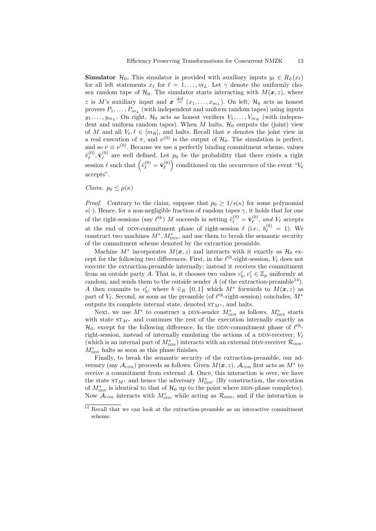**Simulator**  $\mathcal{H}_0$ . This simulator is provided with auxiliary inputs  $y_\ell \in R_L(x_\ell)$ for all left statements  $x_\ell$  for  $\ell = 1, \ldots, m_L$ . Let  $\gamma$  denote the uniformly chosen random tape of  $\mathcal{H}_0$ . The simulator starts interacting with  $M(\boldsymbol{x}, z)$ , where z is M's auxiliary input and  $\boldsymbol{x} \stackrel{\text{def}}{=} (x_1, \ldots, x_{m_L})$ . On left,  $\mathcal{H}_0$  acts as honest provers  $P_1, \ldots, P_{m_L}$  (with independent and uniform random tapes) using inputs  $y_1, \ldots, y_{m_L}$ . On right,  $\mathcal{H}_0$  acts as honest verifiers  $V_1, \ldots, V_{m_R}$  (with independent and uniform random tapes). When  $M$  halts,  $\mathcal{H}_0$  outputs the (joint) view of M and all  $V_{\ell}, \ell \in [m_R]$ , and halts. Recall that  $\nu$  denotes the joint view in a real execution of  $\pi$ , and  $\nu^{(0)}$  is the output of  $\mathcal{H}_0$ . The simulation is perfect, and so  $\nu \equiv \nu^{(0)}$ . Because we use a perfectly binding commitment scheme, values  $\tilde{v}^{(0)}_\ell$  $\tilde{\mathbf{v}}^{(0)}_\ell, \tilde{\mathbf{v}}^{(0)}_\ell$  $\ell^{(0)}$  are well defined. Let  $p_0$  be the probability that there exists a right session  $\ell$  such that  $\left(\tilde{v}_{\ell}^{(0)} = \tilde{\mathbf{v}}_{\ell}^{(0)}\right)$  $\binom{0}{\ell}$  conditioned on the occurrence of the event " $V_{\ell}$ accepts".

Claim.  $p_0 \leq \mu(\kappa)$ 

*Proof.* Contrary to the claim, suppose that  $p_0 \geq 1/s(\kappa)$  for some polynomial s(.). Hence, for a non-negligible fraction of random tapes  $\gamma$ , it holds that for one of the right-sessions (say  $\ell^{\text{th}}$ ) M succeeds in setting  $\tilde{v}^{(0)}_{\ell} = \tilde{\mathbf{v}}^{(0)}_{\ell}$  $\ell^{(0)}$ , and  $V_{\ell}$  accepts at the end of DDN-commitment phase of right-session  $\ell$  (i.e.,  $b_{\ell}^{(0)} = 1$ ). We construct two machines  $M^*$ ,  $M^*_{\text{DDN}}$ , and use them to break the semantic security of the commitment scheme denoted by the extraction preamble.

Machine  $M^*$  incorporates  $M(x, z)$  and interacts with it exactly as  $\mathcal{H}_0$  except for the following two differences. First, in the  $\ell^{\text{th}}$ -right-session,  $V_{\ell}$  does not execute the extraction-preamble internally; instead it receives the commitment from an outside party A. That is, it chooses two values  $v'_0, v'_1 \in \mathbb{Z}_p$  uniformly at random, and sends them to the outside sender  $A$  (of the extraction-preamble<sup>14</sup>). A then commits to  $v'_b$ , where  $b \in_R \{0,1\}$  which  $M^*$  forwards to  $M(\boldsymbol{x},z)$  as part of  $V_{\ell}$ . Second, as soon as the preamble (of  $\ell^{\text{th}}$ -right-session) concludes,  $M^*$ outputs its complete internal state, denoted  $ST_{M^*}$ , and halts.

Next, we use  $M^*$  to construct a DDN-sender  $M^*_{\text{DDN}}$  as follows.  $M^*_{\text{DDN}}$  starts with state  $ST_{M^*}$  and continues the rest of the execution internally exactly as  $\mathcal{H}_0$ , except for the following difference. In the DDN-commitment phase of  $\ell^{\text{th}}$ right-session, instead of internally emulating the actions of a DDN-receiver,  $V_{\ell}$ (which is an internal part of  $M_{\text{DDN}}^{*}$ ) interacts with an external DDN-receiver  $\mathcal{R}_{\text{DDN}}$ .  $M_{\text{DDN}}^*$  halts as soon as this phase finishes.

Finally, to break the semantic security of the extraction-preamble, our adversary (say  $\mathcal{A}_{COM}$ ) proceeds as follows. Given  $M(\mathbf{x}, z)$ ,  $\mathcal{A}_{COM}$  first acts as  $M^*$  to receive a commitment from external A. Once, this interaction is over, we have the state  $ST_{M^*}$  and hence the adversary  $M^*_{\text{DDN}}$ . (By construction, the execution of  $M_{\text{DDN}}^*$  is identical to that of  $\mathcal{H}_0$  up to the point where DDN-phase completes). Now  $\mathcal{A}_{COM}$  interacts with  $M^*_{DDN}$  while acting as  $\mathcal{R}_{DDN}$ , and if the interaction is

<sup>&</sup>lt;sup>14</sup> Recall that we can look at the extraction-preamble as an interactive commitment scheme.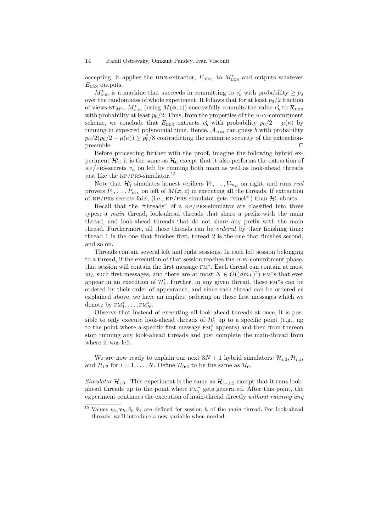#### 14 Rafail Ostrovsky, Omkant Pandey, Ivan Visconti

accepting, it applies the DDN-extractor,  $E_{DDN}$ , to  $M_{DDN}^{*}$  and outputs whatever  $E_{\text{DDN}}$  outputs.

 $M_{\text{DDN}}^*$  is a machine that succeeds in committing to  $v'_b$  with probability  $\geq p_0$ over the randomness of whole experiment. It follows that for at least  $p_0/2$  fraction of views  $ST_{M^*}$ ,  $M^*_{\text{DDN}}$  (using  $M(\boldsymbol{x}, z)$ ) successfully commits the value  $v'_b$  to  $\mathcal{R}_{\text{DDN}}$ with probability at least  $p_0/2$ . Thus, from the properties of the DDN-commitment scheme, we conclude that  $E_{\text{DDN}}$  extracts  $v'_{b}$  with probability  $p_{0}/2 - \mu(\kappa)$  by running in expected polynomial time. Hence,  $\mathcal{A}_{COM}$  can guess b with probability  $p_0/2(p_0/2 - \mu(\kappa)) \ge p_0^2/8$  contradicting the semantic security of the extraction $p$ reamble.  $\square$ 

Before proceeding further with the proof, imagine the following hybrid experiment  $\mathcal{H}'_1$ : it is the same as  $\mathcal{H}_0$  except that it also performs the extraction of  $KP/PRS\text{-}secrets$   $v_h$  on left by running both main as well as look-ahead threads just like the kp/prs-simulator.<sup>15</sup>

Note that  $\mathcal{H}'_1$  simulates honest verifiers  $V_1, \ldots, V_{m_R}$  on right, and runs real provers  $P_1, \ldots, P_{m_L}$  on left of  $M(\boldsymbol{x}, z)$  in executing all the threads. If extraction of KP/PRS-secrets fails, (i.e., KP/PRS-simulator gets "stuck") than  $\mathcal{H}'_1$  aborts.

Recall that the "threads" of a kp/prs-simulator are classified into three types: a main thread, look-ahead threads that share a prefix with the main thread, and look-ahead threads that do not share any prefix with the main thread. Furthermore, all these threads can be ordered by their finishing time: thread 1 is the one that finishes first, thread 2 is the one that finishes second, and so on.

Threads contain several left and right sessions. In each left session belonging to a thread, if the execution of that session reaches the DDN-commitment phase, that session will contain the first message fm<sup>∗</sup> . Each thread can contain at most  $m_L$  such first messages, and there are at most  $N \in O((\beta m_L)^2)$  FM<sup>\*</sup>s that ever appear in an execution of  $\mathcal{H}'_1$ . Further, in any given thread, these FM<sup>\*</sup>s can be ordered by their order of appearance, and since each thread can be ordered as explained above, we have an implicit ordering on these first messages which we denote by  $FM_1^*, \ldots, FM_N^*$ .

Observe that instead of executing all look-ahead threads at once, it is possible to only execute look-ahead threads of  $\mathcal{H}'_1$  up to a specific point (e.g., up to the point where a specific first message  $FM_i^*$  appears) and then from thereon stop running any look-ahead threads and just complete the main-thread from where it was left.

We are now ready to explain our next  $3N + 1$  hybrid simulators:  $\mathcal{H}_{i:0}, \mathcal{H}_{i:1}$ , and  $\mathcal{H}_{i:2}$  for  $i = 1, \ldots, N$ . Define  $\mathcal{H}_{0:2}$  to be the same as  $\mathcal{H}_0$ .

Simulator  $\mathcal{H}_{i:0}$ . This experiment is the same as  $\mathcal{H}_{i-1:2}$  except that it runs lookahead threads up to the point where  $FM_i^*$  gets generated. After this point, the experiment continues the execution of main-thread directly without running any

<sup>&</sup>lt;sup>15</sup> Values  $v_h, \mathbf{v}_h, \tilde{v}_\ell, \tilde{\mathbf{v}}_\ell$  are defined for session h of the main thread. For look-ahead threads, we'll introduce a new variable when needed.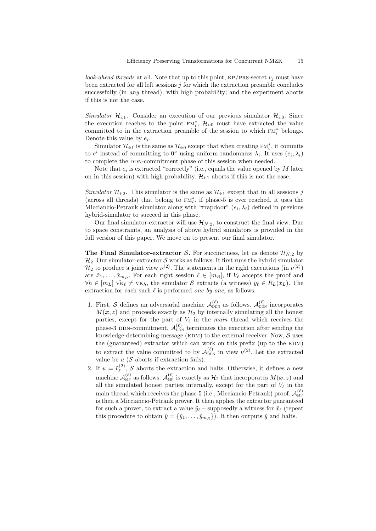look-ahead threads at all. Note that up to this point, KP/PRS-secret  $v_i$  must have been extracted for all left sessions  $j$  for which the extraction preamble concludes successfully (in *any* thread), with high probability; and the experiment aborts if this is not the case.

Simulator  $\mathcal{H}_{i:1}$ . Consider an execution of our previous simulator  $\mathcal{H}_{i:0}$ . Since the execution reaches to the point  $FM_i^*$ ,  $\mathcal{H}_{i:0}$  must have extracted the value committed to in the extraction preamble of the session to which  $FM_i^*$  belongs. Denote this value by  $e_i$ .

Simulator  $\mathcal{H}_{i:1}$  is the same as  $\mathcal{H}_{i:0}$  except that when creating  $FM_i^*$ , it commits to  $e^i$  instead of committing to  $0^{\kappa}$  using uniform randomness  $\lambda_i$ . It uses  $(e_i, \lambda_i)$ to complete the DDN-commitment phase of this session when needed.

Note that  $e_i$  is extracted "correctly" (i.e., equals the value opened by M later on in this session) with high probability.  $\mathcal{H}_{i,1}$  aborts if this is not the case.

Simulator  $\mathcal{H}_{i:2}$ . This simulator is the same as  $\mathcal{H}_{i:1}$  except that in all sessions j (across all threads) that belong to  $FM_i^*$ , if phase-5 is ever reached, it uses the Micciancio-Petrank simulator along with "trapdoor"  $(e_i, \lambda_i)$  defined in previous hybrid-simulator to succeed in this phase.

Our final simulator-extractor will use  $\mathcal{H}_{N:2}$ , to construct the final view. Due to space constraints, an analysis of above hybrid simulators is provided in the full version of this paper. We move on to present our final simulator.

**The Final Simulator-extractor S.** For succinctness, let us denote  $\mathcal{H}_{N-2}$  by  $\mathcal{H}_2$ . Our simulator-extractor S works as follows. It first runs the hybrid simulator  $\mathcal{H}_2$  to produce a joint view  $\nu^{(2)}$ . The statements in the right executions (in  $\nu^{(2)}$ ) are  $\tilde{x}_1, \ldots, \tilde{x}_{m_R}$ . For each right session  $\ell \in [m_R]$ , if  $V_{\ell}$  accepts the proof and  $\forall h \in [m_L] \ \tilde{\text{v}}_k \neq \text{v}_k$ , the simulator S extracts (a witness)  $\tilde{y}_\ell \in R_L(\tilde{x}_L)$ . The extraction for each such  $\ell$  is performed one by one, as follows.

- 1. First, S defines an adversarial machine  $\mathcal{A}_{DDN}^{(\ell)}$  as follows.  $\mathcal{A}_{DDN}^{(\ell)}$  incorporates  $M(x, z)$  and proceeds exactly as  $\mathcal{H}_2$  by internally simulating all the honest parties, except for the part of  $V_\ell$  in the main thread which receives the phase-3 DDN-commitment.  $\mathcal{A}_{\text{DDN}}^{(\ell)}$  terminates the execution after sending the knowledge-determining-message (KDM) to the external receiver. Now,  $S$  uses the (guaranteed) extractor which can work on this prefix (up to the  $KDM$ ) to extract the value committed to by  $\mathcal{A}_{DDN}^{(\ell)}$  in view  $\nu^{(2)}$ . Let the extracted value be  $u$  ( $S$  aborts if extraction fails).
- 2. If  $u = \tilde{v}_{\ell}^{(2)}$  $\mathcal{L}^{(2)}$ , S aborts the extraction and halts. Otherwise, it defines a new machine  $\mathcal{A}_{\text{MP}}^{(\ell)}$  as follows.  $\mathcal{A}_{\text{MP}}^{(\ell)}$  is exactly as  $\mathcal{H}_2$  that incorporates  $M(\bm{x}, z)$  and all the simulated honest parties internally, except for the part of  $V_{\ell}$  in the main thread which receives the phase-5 (i.e., Micciancio-Petrank) proof.  $\mathcal{A}_{\text{MP}}^{(\ell)}$ is then a Micciancio-Petrank prover. It then applies the extractor guaranteed for such a prover, to extract a value  $\tilde{y}_\ell$  – supposedly a witness for  $\tilde{x}_\ell$  (repeat this procedure to obtain  $\tilde{y} = {\tilde{y}_1, \ldots, \tilde{y}_{m_R}}$ . It then outputs  $\tilde{y}$  and halts.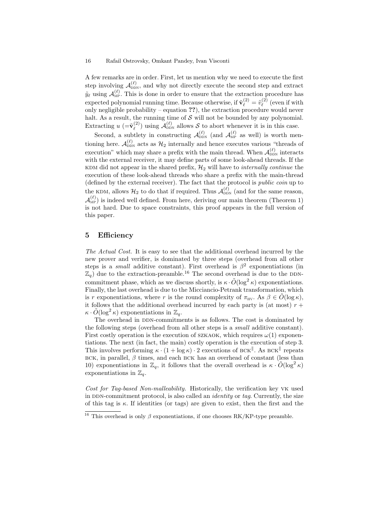#### 16 Rafail Ostrovsky, Omkant Pandey, Ivan Visconti

A few remarks are in order. First, let us mention why we need to execute the first step involving  $\mathcal{A}_{\text{DDN}}^{(\ell)}$ , and why not directly execute the second step and extract  $\tilde{y}_\ell$  using  $\mathcal{A}_{\text{MP}}^{(\ell)}$ . This is done in order to ensure that the extraction procedure has expected polynomial running time. Because otherwise, if  $\tilde{\mathbf{v}}_{\ell}^{(2)} = \tilde{v}_{\ell}^{(2)}$  (even if with  $\text{conv}$  negligible probability – equation ??), the extraction procedure would never halt. As a result, the running time of  $S$  will not be bounded by any polynomial. Extracting  $u\ (=\tilde{\mathbf{v}}_{\ell}^{(2)}$  $\mathcal{A}_{\ell}^{(2)}$ ) using  $\mathcal{A}_{\text{DDN}}^{(\ell)}$  allows S to abort whenever it is in this case.

Second, a subtlety in constructing  $\mathcal{A}_{DDN}^{(\ell)}$  (and  $\mathcal{A}_{MP}^{(\ell)}$  as well) is worth mentioning here.  $\mathcal{A}_{\text{DDN}}^{(\ell)}$  acts as  $\mathcal{H}_2$  internally and hence executes various "threads of execution" which may share a prefix with the main thread. When  $\mathcal{A}_{\text{DDN}}^{(\ell)}$  interacts with the external receiver, it may define parts of some look-ahead threads. If the KDM did not appear in the shared prefix,  $\mathcal{H}_2$  will have to *internally continue* the execution of these look-ahead threads who share a prefix with the main-thread (defined by the external receiver). The fact that the protocol is public coin up to the KDM, allows  $\mathcal{H}_2$  to do that if required. Thus  $\mathcal{A}_{\text{DDN}}^{(\ell)}$  (and for the same reason,  $\mathcal{A}_{\text{MP}}^{(\ell)}$ ) is indeed well defined. From here, deriving our main theorem (Theorem 1) is not hard. Due to space constraints, this proof appears in the full version of this paper.

## 5 Efficiency

The Actual Cost. It is easy to see that the additional overhead incurred by the new prover and verifier, is dominated by three steps (overhead from all other steps is a *small* additive constant). First overhead is  $\beta^2$  exponentiations (in  $\mathbb{Z}_q$  due to the extraction-preamble.<sup>16</sup> The second overhead is due to the DDNcommitment phase, which as we discuss shortly, is  $\kappa \cdot \tilde{O}(\log^2 \kappa)$  exponentiations. Finally, the last overhead is due to the Micciancio-Petrank transformation, which is r exponentiations, where r is the round complexity of  $\pi_{\text{HV}}$ . As  $\beta \in \hat{O}(\log \kappa)$ , it follows that the additional overhead incurred by each party is (at most)  $r +$  $\kappa \cdot \tilde{O}(\log^2 \kappa)$  exponentiations in  $\mathbb{Z}_q$ .

The overhead in DDN-commitments is as follows. The cost is dominated by the following steps (overhead from all other steps is a small additive constant). First costly operation is the execution of SZKAOK, which requires  $\omega(1)$  exponentiations. The next (in fact, the main) costly operation is the execution of step 3. This involves performing  $\kappa \cdot (1 + \log \kappa) \cdot 2$  executions of BCK<sup>||</sup>. As BCK<sup>||</sup> repeats BCK, in parallel,  $\beta$  times, and each BCK has an overhead of constant (less than 10) exponentiations in  $\mathbb{Z}_q$ , it follows that the overall overhead is  $\kappa \cdot \tilde{O}(\log^2 \kappa)$ exponentiations in  $\mathbb{Z}_q$ .

Cost for Tag-based Non-malleability. Historically, the verification key vk used in DDN-commitment protocol, is also called an *identity* or tag. Currently, the size of this tag is  $\kappa$ . If identities (or tags) are given to exist, then the first and the

<sup>&</sup>lt;sup>16</sup> This overhead is only  $\beta$  exponentiations, if one chooses RK/KP-type preamble.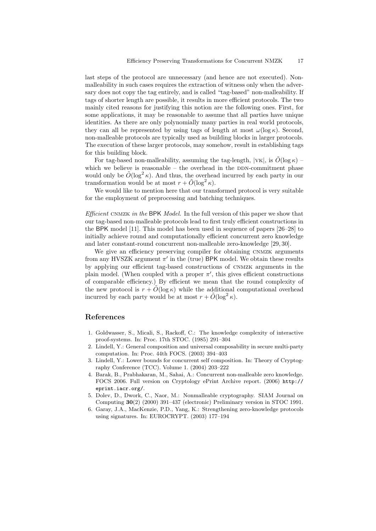last steps of the protocol are unnecessary (and hence are not executed). Nonmalleability in such cases requires the extraction of witness only when the adversary does not copy the tag entirely, and is called "tag-based" non-malleability. If tags of shorter length are possible, it results in more efficient protocols. The two mainly cited reasons for justifying this notion are the following ones. First, for some applications, it may be reasonable to assume that all parties have unique identities. As there are only polynomially many parties in real world protocols, they can all be represented by using tags of length at most  $\omega(\log \kappa)$ . Second, non-malleable protocols are typically used as building blocks in larger protocols. The execution of these larger protocols, may somehow, result in establishing tags for this building block.

For tag-based non-malleability, assuming the tag-length,  $|VK|$ , is  $\tilde{O}(\log \kappa)$  – which we believe is reasonable  $-$  the overhead in the DDN-commitment phase would only be  $\tilde{O}(\log^2 \kappa)$ . And thus, the overhead incurred by each party in our transformation would be at most  $r + \tilde{O}(\log^2 \kappa)$ .

We would like to mention here that our transformed protocol is very suitable for the employment of preprocessing and batching techniques.

Efficient CNMZK in the BPK Model. In the full version of this paper we show that our tag-based non-malleable protocols lead to first truly efficient constructions in the BPK model [11]. This model has been used in sequence of papers [26–28] to initially achieve round and computationally efficient concurrent zero knowledge and later constant-round concurrent non-malleable zero-knowledge [29, 30].

We give an efficiency preserving compiler for obtaining CNMZK arguments from any HVSZK argument  $\pi'$  in the (true) BPK model. We obtain these results by applying our efficient tag-based constructions of cnmzk arguments in the plain model. (When coupled with a proper  $\pi'$ , this gives efficient constructions of comparable efficiency.) By efficient we mean that the round complexity of the new protocol is  $r + \tilde{O}(\log \kappa)$  while the additional computational overhead incurred by each party would be at most  $r + \tilde{O}(\log^2 \kappa)$ .

## References

- 1. Goldwasser, S., Micali, S., Rackoff, C.: The knowledge complexity of interactive proof-systems. In: Proc. 17th STOC. (1985) 291–304
- 2. Lindell, Y.: General composition and universal composability in secure multi-party computation. In: Proc. 44th FOCS. (2003) 394–403
- 3. Lindell, Y.: Lower bounds for concurrent self composition. In: Theory of Cryptography Conference (TCC). Volume 1. (2004) 203–222
- 4. Barak, B., Prabhakaran, M., Sahai, A.: Concurrent non-malleable zero knowledge. FOCS 2006. Full version on Cryptology ePrint Archive report. (2006) http:// eprint.iacr.org/.
- 5. Dolev, D., Dwork, C., Naor, M.: Nonmalleable cryptography. SIAM Journal on Computing 30(2) (2000) 391–437 (electronic) Preliminary version in STOC 1991.
- 6. Garay, J.A., MacKenzie, P.D., Yang, K.: Strengthening zero-knowledge protocols using signatures. In: EUROCRYPT. (2003) 177–194